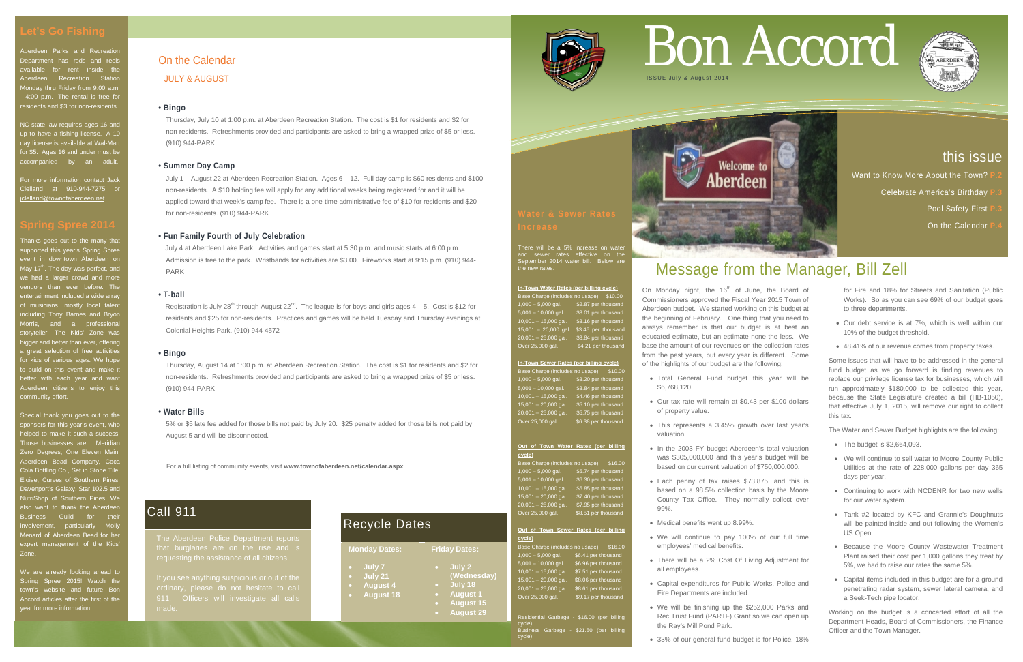For a full listing of community events, visit **www.townofaberdeen.net/calendar.aspx**.

## On the Calendar

JULY & AUGUST

#### **• Bingo**

Thursday, July 10 at 1:00 p.m. at Aberdeen Recreation Station. The cost is \$1 for residents and \$2 for non-residents. Refreshments provided and participants are asked to bring a wrapped prize of \$5 or less. (910) 944-PARK

### **• Summer Day Camp**

July 1 – August 22 at Aberdeen Recreation Station. Ages 6 – 12. Full day camp is \$60 residents and \$100 non-residents. A \$10 holding fee will apply for any additional weeks being registered for and it will be applied toward that week's camp fee. There is a one-time administrative fee of \$10 for residents and \$20 for non-residents. (910) 944-PARK

Registration is July 28<sup>th</sup> through August  $22^{nd}$ . The league is for boys and girls ages  $4-5$ . Cost is \$12 for residents and \$25 for non-residents. Practices and games will be held Tuesday and Thursday evenings at Colonial Heights Park. (910) 944-4572

## **• Fun Family Fourth of July Celebration**

 July 4 at Aberdeen Lake Park. Activities and games start at 5:30 p.m. and music starts at 6:00 p.m. Admission is free to the park. Wristbands for activities are \$3.00. Fireworks start at 9:15 p.m. (910) 944- PARK

### **• T-ball**

For more information contact Jack Clelland at 910-944-7275 or clelland@townofaberdeen.net

#### **• Bingo**

Thursday, August 14 at 1:00 p.m. at Aberdeen Recreation Station. The cost is \$1 for residents and \$2 for non-residents. Refreshments provided and participants are asked to bring a wrapped prize of \$5 or less. (910) 944-PARK

## **• Water Bills**

5% or \$5 late fee added for those bills not paid by July 20. \$25 penalty added for those bills not paid by August 5 and will be disconnected.

Aberdeen Parks and Recreation Department has rods and reels available for rent inside the Aberdeen Recreation Station Monday thru Friday from 9:00 a.m. - 4:00 p.m. The rental is free for residents and \$3 for non-residents.

> There will be a 5% increase on water and sewer rates effective on the September 2014 water bill. Below are the new rates.

NC state law requires ages 16 and up to have a fishing license. A 10 day license is available at Wal-Mart for \$5. Ages 16 and under must be accompanied by an adult.

> **cycle)**  $(includes no usage)$  \$16.00 1,000 – 5,000 gal. \$5.74 per thousand 5,001 – 10,000 gal. \$6.30 per thousand  $\overline{\phantom{1}}$  \$6.85 per thousand 15,001 – 20,000 gal. \$7.40 per thousand 20,001 – 25,000 gal. \$7.95 per thousand Over 25,000 gal. \$8.51 per thousand

Thanks goes out to the many that supported this year's Spring Spree event in downtown Aberdeen on May 17<sup>th</sup>. The day was perfect, and we had a larger crowd and more vendors than ever before. The ertainment included a wide array of musicians, mostly local talent including Tony Barnes and Bryon Morris, and a professional storyteller. The Kids' Zone was bigger and better than ever, offering a great selection of free activities for kids of various ages. We hope to build on this event and make it better with each year and want Aberdeen citizens to enjoy this community effort.

> idential Garbage - \$16.00 (per billing cycle) Business Garbage - \$21.50 (per billing cycle)



On Monday night, the  $16<sup>th</sup>$  of June, the Board of Commissioners approved the Fiscal Year 2015 Town of Aberdeen budget. We started working on this budget at the beginning of February. One thing that you need to always remember is that our budget is at best an educated estimate, but an estimate none the less. We base the amount of our revenues on the collection rates from the past years, but every year is different. Some of the highlights of our budget are the following:

Special thank you goes out to the sponsors for this year's event, who helped to make it such a success. Those businesses are: Meridian Zero Degrees, One Eleven Main, Aberdeen Bead Company, Coca Cola Bottling Co., Set in Stone Tile, Eloise, Curves of Southern Pines, Davenport's Galaxy, Star 102.5 and NutriShop of Southern Pines. We also want to thank the Aberdeen Business Guild for their nvolvement, particularly Moll Menard of Aberdeen Bead for he expert management of the Kids Zone.

We are already looking ahead to Spring Spree 2015! Watch the town's website and future Bon Accord articles after the first of the year for more information.

#### **In-Town Water Rates (per billing cycle)**

Base Charge (includes no usage) \$10.00 1,000 – 5,000 gal. \$2.87 per thousand 5,001 – 10,000 gal. \$3.01 per thousand 10,001 – 15,000 gal.  $\frac{1}{3}$  \$3.16 per thousand 15,001 - 20,000 gal. \$3,45 per thousand 20,001 – 25,000 gal. \$3.84 per thousand Over 25,000 gal. \$4.21 per thousand

- The budget is \$2,664,093.
- We will continue to sell water to Moore County Public Utilities at the rate of 228,000 gallons per day 365 days per year.
- Continuing to work with NCDENR for two new wells for our water system.
- Tank #2 located by KFC and Grannie's Doughnuts will be painted inside and out following the Women's US Open.
- Because the Moore County Wastewater Treatment Plant raised their cost per 1,000 gallons they treat by 5%, we had to raise our rates the same 5%.
- Capital items included in this budget are for a ground penetrating radar system, sewer lateral camera, and a Seek-Tech pipe locator.

### **In-Town Sewer Rates (per billing cycle)**

Base Charge (includes no usage) \$10.00 1,000 – 5,000 gal. \$3.20 per thousand 5,001 – 10,000 gal. \$3.84 per thousand 10,001 – 15,000 gal. \$4.46 per thousand 15,001 – 20,000 gal. \$5.10 per thousand 20,001 – 25,000 gal. \$5.75 per thousand Over 25,000 gal. \$6.38 per thousand

## **Out of Town Water Rates (per billing**

#### **Out of Town Sewer Rates (per billing cycle)**

Base Charge (includes no usage) \$16.00 1,000 – 5,000 gal. \$6.41 per thousand 5,001 – 10,000 gal. \$6.96 per thousand<br>10.001 – 15.000 gal. \$7.51 per thousand  $\overline{\phantom{a}}$  \$7.51 per thousand 15,001 – 20,000 gal. \$8.06 per thousand 20,001 – 25,000 gal. \$8.61 per thousand Over 25,000 gal. \$9.17 per thousand

# Message from the Manager, Bill Zell

- Total General Fund budget this year will be \$6,768,120.
- Our tax rate will remain at \$0.43 per \$100 dollars of property value.
- This represents a 3.45% growth over last year's valuation.
- In the 2003 FY budget Aberdeen's total valuation was \$305,000,000 and this year's budget will be based on our current valuation of \$750,000,000.
- Each penny of tax raises \$73,875, and this is based on a 98.5% collection basis by the Moore County Tax Office. They normally collect over 99%.
- Medical benefits went up 8.99%.
- We will continue to pay 100% of our full time employees' medical benefits.
- There will be a 2% Cost Of Living Adjustment for all employees.
- Capital expenditures for Public Works, Police and Fire Departments are included.
- We will be finishing up the \$252,000 Parks and Rec Trust Fund (PARTF) Grant so we can open up the Ray's Mill Pond Park.
- 33% of our general fund budget is for Police, 18%

# Let's Go Fishing<br>Nederdeen Parks and Recreation<br>Department has rods and reels **on the Calendar**



for Fire and 18% for Streets and Sanitation (Public Works). So as you can see 69% of our budget goes to three departments.

- Our debt service is at 7%, which is well within our 10% of the budget threshold.
- 48.41% of our revenue comes from property taxes.

Some issues that will have to be addressed in the general fund budget as we go forward is finding revenues to replace our privilege license tax for businesses, which will run approximately \$180,000 to be collected this year, because the State Legislature created a bill (HB-1050), that effective July 1, 2015, will remove our right to collect this tax.

The Water and Sewer Budget highlights are the following:

Working on the budget is a concerted effort of all the Department Heads, Board of Commissioners, the Finance Officer and the Town Manager.

## this issue

Want to Know More About the Town?

**Celebrate America's Birthday** 

**Pool Safety First I** 

**On the Calendar** 



## Recycle Dates

| <b>Monday Dates:</b>                                                       | <b>Friday Dates:</b>                                                                        |
|----------------------------------------------------------------------------|---------------------------------------------------------------------------------------------|
| July 7<br>July 21<br>$\blacksquare$<br><b>August 4</b><br><b>August 18</b> | July 2<br>(Wednesday)<br>July 18<br><b>August 1</b><br><b>August 15</b><br><b>August 29</b> |



## Call 911

that burglaries are on the rise and is requesting the assistance of all citizens.